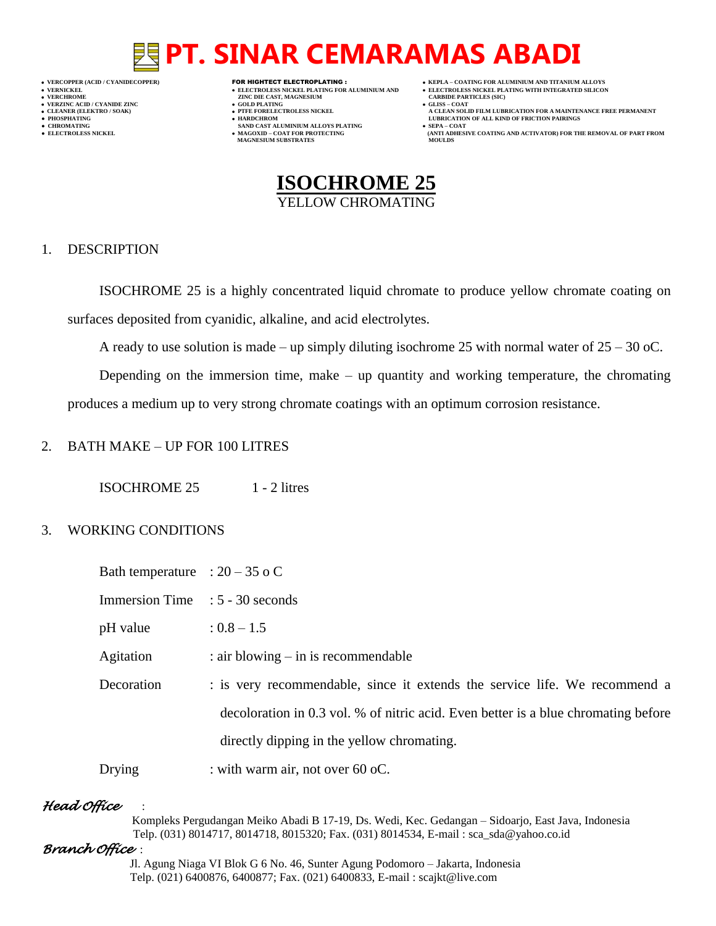# **PT. SINAR CEMARAMAS ABADI**

- 
- 
- 
- 

- **VERT ASSESSED ASSESSED ASSESSED ASSESSED ASSESSED ASSESSED ASSESSED ASSESSED ASSESSED ASSESSED ASSESSED ASSESSED ASSESSED ASSESSED ASSESSED ASSESSED ASSESSED ASSESSED ASSESSED ASSESSED ASSESSED ASSESSED ASSESSED ASSESSED**
- **VERZINC ACID / CYANIDE ZINC GOLD PLATING GLISS – COAT**
	-
- **● CHROMATING SAND CAST ALUMINIUM ALLOYS PLATING SEPA – COAT MAGNESIUM SUBSTRATES MOULDS**
- **VERCOPPER (ACID / CYANIDECOPPER)** FOR HIGHTECT ELECTROPLATING :  **KEPLA – COATING FOR ALUMINIUM AND TITANIUM ALLOYS**
- **VERNICKEL ELECTROLESS NICKEL PLATING FOR ALUMINIUM AND ELECTROLESS NICKEL PLATING WITH INTEGRATED SILICON**
	-
- **CLEANER (ELEKTRO / SOAK) PTFE FORELECTROLESS NICKEL A CLEAN SOLID FILM LUBRICATION FOR A MAINTENANCE FREE PERMANENT ● PHOSPHATING HARDCHROM LUBRICATION OF ALL KIND OF FRICTION PAIRINGS**
- **● ELECTROLESS NICKEL MAGOXID – COAT FOR PROTECTING (ANTI ADHESIVE COATING AND ACTIVATOR) FOR THE REMOVAL OF PART FROM**



### 1. DESCRIPTION

ISOCHROME 25 is a highly concentrated liquid chromate to produce yellow chromate coating on surfaces deposited from cyanidic, alkaline, and acid electrolytes.

A ready to use solution is made – up simply diluting isochrome 25 with normal water of  $25 - 30$  oC.

Depending on the immersion time, make – up quantity and working temperature, the chromating produces a medium up to very strong chromate coatings with an optimum corrosion resistance.

### 2. BATH MAKE – UP FOR 100 LITRES

ISOCHROME 25 1 - 2 litres

### 3. WORKING CONDITIONS

| Bath temperature : $20 - 35$ o C |                                                                                    |
|----------------------------------|------------------------------------------------------------------------------------|
| <b>Immersion Time</b>            | $: 5 - 30$ seconds                                                                 |
| pH value                         | $: 0.8 - 1.5$                                                                      |
| Agitation                        | $:$ air blowing $-$ in is recommendable                                            |
| Decoration                       | : is very recommendable, since it extends the service life. We recommend a         |
|                                  | decoloration in 0.3 vol. % of nitric acid. Even better is a blue chromating before |
|                                  | directly dipping in the yellow chromating.                                         |
| Drying                           | : with warm air, not over 60 oC.                                                   |

## *Head Office* :

 Kompleks Pergudangan Meiko Abadi B 17-19, Ds. Wedi, Kec. Gedangan – Sidoarjo, East Java, Indonesia Telp. (031) 8014717, 8014718, 8015320; Fax. (031) 8014534, E-mail : sca\_sda@yahoo.co.id

### *Branch Office* :

 Jl. Agung Niaga VI Blok G 6 No. 46, Sunter Agung Podomoro – Jakarta, Indonesia Telp. (021) 6400876, 6400877; Fax. (021) 6400833, E-mail : scajkt@live.com